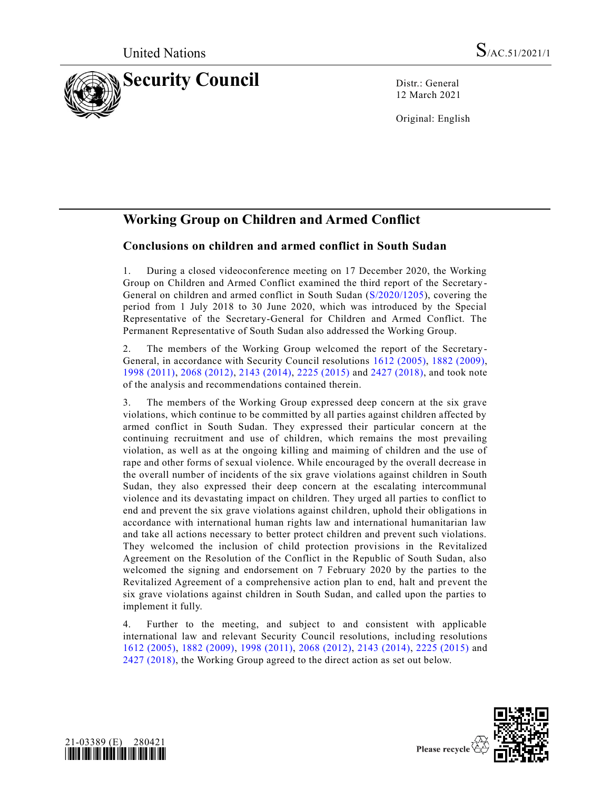

12 March 2021

Original: English

# **Working Group on Children and Armed Conflict**

## **Conclusions on children and armed conflict in South Sudan**

1. During a closed videoconference meeting on 17 December 2020, the Working Group on Children and Armed Conflict examined the third report of the Secretary - General on children and armed conflict in South Sudan [\(S/2020/1205\)](https://undocs.org/en/S/2020/1205), covering the period from 1 July 2018 to 30 June 2020, which was introduced by the Special Representative of the Secretary-General for Children and Armed Conflict. The Permanent Representative of South Sudan also addressed the Working Group.

2. The members of the Working Group welcomed the report of the Secretary-General, in accordance with Security Council resolutions [1612 \(2005\),](https://undocs.org/en/S/RES/1612(2005)) [1882 \(2009\),](https://undocs.org/en/S/RES/1882(2009)) [1998 \(2011\),](https://undocs.org/en/S/RES/1998(2011)) [2068 \(2012\),](https://undocs.org/en/S/RES/2068(2012)) [2143 \(2014\),](https://undocs.org/en/S/RES/2143(2014)) [2225 \(2015\)](https://undocs.org/en/S/RES/2225(2015)) and [2427 \(2018\),](https://undocs.org/en/S/RES/2427(2018)) and took note of the analysis and recommendations contained therein.

3. The members of the Working Group expressed deep concern at the six grave violations, which continue to be committed by all parties against children affected by armed conflict in South Sudan. They expressed their particular concern at the continuing recruitment and use of children, which remains the most prevailing violation, as well as at the ongoing killing and maiming of children and the use of rape and other forms of sexual violence. While encouraged by the overall decrease in the overall number of incidents of the six grave violations against children in South Sudan, they also expressed their deep concern at the escalating intercommunal violence and its devastating impact on children. They urged all parties to conflict to end and prevent the six grave violations against children, uphold their obligations in accordance with international human rights law and international humanitarian law and take all actions necessary to better protect children and prevent such violations. They welcomed the inclusion of child protection provisions in the Revitalized Agreement on the Resolution of the Conflict in the Republic of South Sudan, also welcomed the signing and endorsement on 7 February 2020 by the parties to the Revitalized Agreement of a comprehensive action plan to end, halt and prevent the six grave violations against children in South Sudan, and called upon the parties to implement it fully.

4. Further to the meeting, and subject to and consistent with applicable international law and relevant Security Council resolutions, including resolutions [1612 \(2005\),](https://undocs.org/en/S/RES/1612(2005)) [1882 \(2009\),](https://undocs.org/en/S/RES/1882(2009)) [1998 \(2011\),](https://undocs.org/en/S/RES/1998(2011)) [2068 \(2012\),](https://undocs.org/en/S/RES/2068(2012)) [2143 \(2014\),](https://undocs.org/en/S/RES/2143(2014)) [2225 \(2015\)](https://undocs.org/en/S/RES/2225(2015)) and [2427 \(2018\),](https://undocs.org/en/S/RES/2427(2018)) the Working Group agreed to the direct action as set out below.



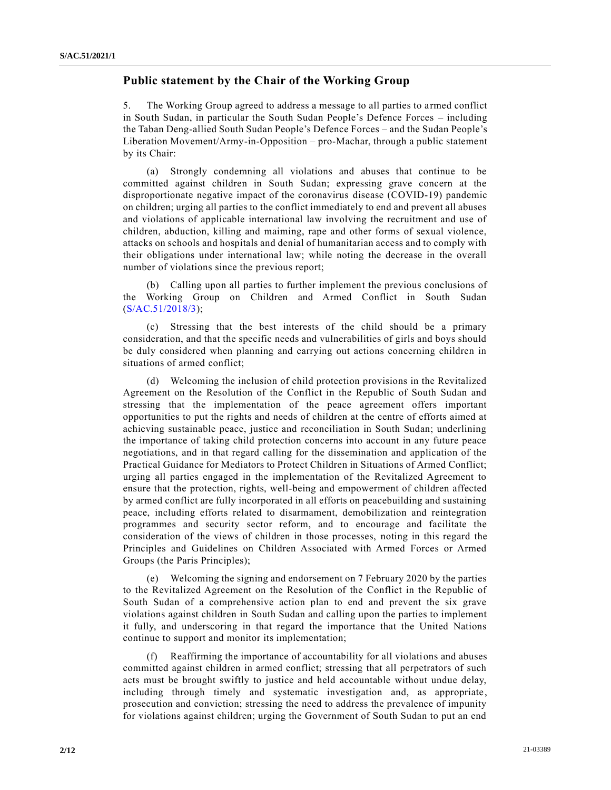### **Public statement by the Chair of the Working Group**

5. The Working Group agreed to address a message to all parties to armed conflict in South Sudan, in particular the South Sudan People's Defence Forces – including the Taban Deng-allied South Sudan People's Defence Forces – and the Sudan People's Liberation Movement/Army-in-Opposition – pro-Machar, through a public statement by its Chair:

(a) Strongly condemning all violations and abuses that continue to be committed against children in South Sudan; expressing grave concern at the disproportionate negative impact of the coronavirus disease (COVID-19) pandemic on children; urging all parties to the conflict immediately to end and prevent all abuses and violations of applicable international law involving the recruitment and use of children, abduction, killing and maiming, rape and other forms of sexual violence, attacks on schools and hospitals and denial of humanitarian access and to comply with their obligations under international law; while noting the decrease in the overall number of violations since the previous report;

(b) Calling upon all parties to further implement the previous conclusions of the Working Group on Children and Armed Conflict in South Sudan [\(S/AC.51/2018/3\)](https://undocs.org/en/S/AC.51/2018/3);

(c) Stressing that the best interests of the child should be a primary consideration, and that the specific needs and vulnerabilities of girls and boys should be duly considered when planning and carrying out actions concerning children in situations of armed conflict;

(d) Welcoming the inclusion of child protection provisions in the Revitalized Agreement on the Resolution of the Conflict in the Republic of South Sudan and stressing that the implementation of the peace agreement offers important opportunities to put the rights and needs of children at the centre of efforts aimed at achieving sustainable peace, justice and reconciliation in South Sudan; underlining the importance of taking child protection concerns into account in any future peace negotiations, and in that regard calling for the dissemination and application of the Practical Guidance for Mediators to Protect Children in Situations of Armed Conflict; urging all parties engaged in the implementation of the Revitalized Agreement to ensure that the protection, rights, well-being and empowerment of children affected by armed conflict are fully incorporated in all efforts on peacebuilding and sustaining peace, including efforts related to disarmament, demobilization and reintegration programmes and security sector reform, and to encourage and facilitate the consideration of the views of children in those processes, noting in this regard the Principles and Guidelines on Children Associated with Armed Forces or Armed Groups (the Paris Principles);

(e) Welcoming the signing and endorsement on 7 February 2020 by the parties to the Revitalized Agreement on the Resolution of the Conflict in the Republic of South Sudan of a comprehensive action plan to end and prevent the six grave violations against children in South Sudan and calling upon the parties to implement it fully, and underscoring in that regard the importance that the United Nations continue to support and monitor its implementation;

(f) Reaffirming the importance of accountability for all violations and abuses committed against children in armed conflict; stressing that all perpetrators of such acts must be brought swiftly to justice and held accountable without undue delay, including through timely and systematic investigation and, as appropriate, prosecution and conviction; stressing the need to address the prevalence of impunity for violations against children; urging the Government of South Sudan to put an end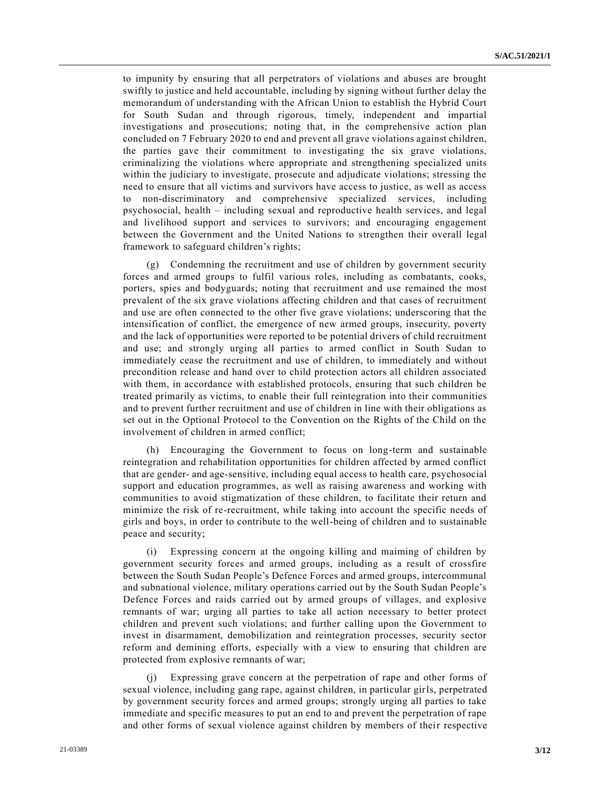to impunity by ensuring that all perpetrators of violations and abuses are brought swiftly to justice and held accountable, including by signing without further delay the memorandum of understanding with the African Union to establish the Hybrid Court for South Sudan and through rigorous, timely, independent and impartial investigations and prosecutions; noting that, in the comprehensive action plan concluded on 7 February 2020 to end and prevent all grave violations against children, the parties gave their commitment to investigating the six grave violations, criminalizing the violations where appropriate and strengthening specialized units within the judiciary to investigate, prosecute and adjudicate violations; stressing the need to ensure that all victims and survivors have access to justice, as well as access to non-discriminatory and comprehensive specialized services, including psychosocial, health – including sexual and reproductive health services, and legal and livelihood support and services to survivors; and encouraging engagement between the Government and the United Nations to strengthen their overall legal framework to safeguard children's rights;

(g) Condemning the recruitment and use of children by government security forces and armed groups to fulfil various roles, including as combatants, cooks, porters, spies and bodyguards; noting that recruitment and use remained the most prevalent of the six grave violations affecting children and that cases of recruitment and use are often connected to the other five grave violations; underscoring that the intensification of conflict, the emergence of new armed groups, insecurity, poverty and the lack of opportunities were reported to be potential drivers of child recruitment and use; and strongly urging all parties to armed conflict in South Sudan to immediately cease the recruitment and use of children, to immediately and without precondition release and hand over to child protection actors all children associated with them, in accordance with established protocols, ensuring that such children be treated primarily as victims, to enable their full reintegration into their communities and to prevent further recruitment and use of children in line with their obligations as set out in the Optional Protocol to the Convention on the Rights of the Child on the involvement of children in armed conflict;

(h) Encouraging the Government to focus on long-term and sustainable reintegration and rehabilitation opportunities for children affected by armed conflict that are gender- and age-sensitive, including equal access to health care, psychosocial support and education programmes, as well as raising awareness and working with communities to avoid stigmatization of these children, to facilitate their return and minimize the risk of re-recruitment, while taking into account the specific needs of girls and boys, in order to contribute to the well-being of children and to sustainable peace and security;

(i) Expressing concern at the ongoing killing and maiming of children by government security forces and armed groups, including as a result of crossfire between the South Sudan People's Defence Forces and armed groups, intercommunal and subnational violence, military operations carried out by the South Sudan People's Defence Forces and raids carried out by armed groups of villages, and explosive remnants of war; urging all parties to take all action necessary to better protect children and prevent such violations; and further calling upon the Government to invest in disarmament, demobilization and reintegration processes, security sector reform and demining efforts, especially with a view to ensuring that children are protected from explosive remnants of war;

(j) Expressing grave concern at the perpetration of rape and other forms of sexual violence, including gang rape, against children, in particular girls, perpetrated by government security forces and armed groups; strongly urging all parties to take immediate and specific measures to put an end to and prevent the perpetration of rape and other forms of sexual violence against children by members of their respective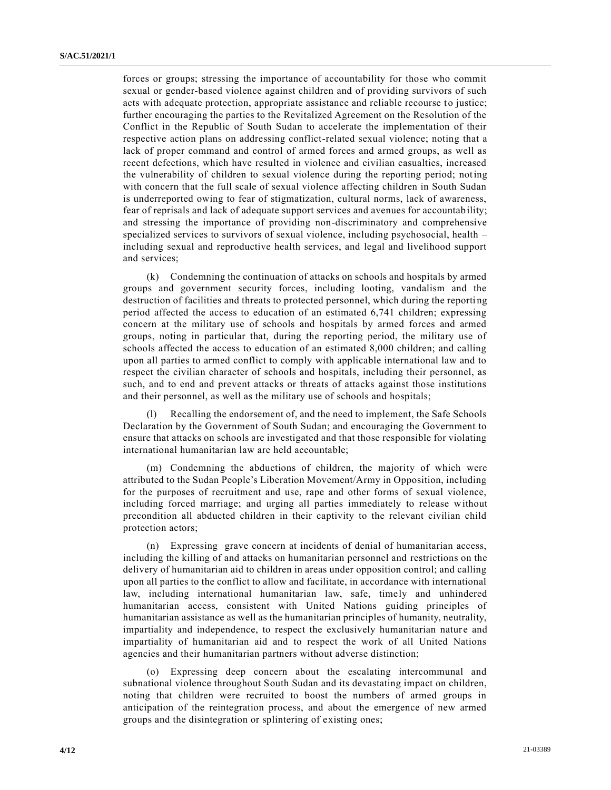forces or groups; stressing the importance of accountability for those who commit sexual or gender-based violence against children and of providing survivors of such acts with adequate protection, appropriate assistance and reliable recourse to justice; further encouraging the parties to the Revitalized Agreement on the Resolution of the Conflict in the Republic of South Sudan to accelerate the implementation of their respective action plans on addressing conflict-related sexual violence; noting that a lack of proper command and control of armed forces and armed groups, as well as recent defections, which have resulted in violence and civilian casualties, increased the vulnerability of children to sexual violence during the reporting period; noting with concern that the full scale of sexual violence affecting children in South Sudan is underreported owing to fear of stigmatization, cultural norms, lack of awareness, fear of reprisals and lack of adequate support services and avenues for accountability; and stressing the importance of providing non-discriminatory and comprehensive specialized services to survivors of sexual violence, including psychosocial, health – including sexual and reproductive health services, and legal and livelihood support and services;

(k) Condemning the continuation of attacks on schools and hospitals by armed groups and government security forces, including looting, vandalism and the destruction of facilities and threats to protected personnel, which during the reporti ng period affected the access to education of an estimated 6,741 children; expressing concern at the military use of schools and hospitals by armed forces and armed groups, noting in particular that, during the reporting period, the military use of schools affected the access to education of an estimated 8,000 children; and calling upon all parties to armed conflict to comply with applicable international law and to respect the civilian character of schools and hospitals, including their personnel, as such, and to end and prevent attacks or threats of attacks against those institutions and their personnel, as well as the military use of schools and hospitals;

Recalling the endorsement of, and the need to implement, the Safe Schools Declaration by the Government of South Sudan; and encouraging the Government to ensure that attacks on schools are investigated and that those responsible for violating international humanitarian law are held accountable;

(m) Condemning the abductions of children, the majority of which were attributed to the Sudan People's Liberation Movement/Army in Opposition, including for the purposes of recruitment and use, rape and other forms of sexual violence, including forced marriage; and urging all parties immediately to release without precondition all abducted children in their captivity to the relevant civilian child protection actors;

(n) Expressing grave concern at incidents of denial of humanitarian access, including the killing of and attacks on humanitarian personnel and restrictions on the delivery of humanitarian aid to children in areas under opposition control; and calling upon all parties to the conflict to allow and facilitate, in accordance with international law, including international humanitarian law, safe, timely and unhindered humanitarian access, consistent with United Nations guiding principles of humanitarian assistance as well as the humanitarian principles of humanity, neutrality, impartiality and independence, to respect the exclusively humanitarian nature and impartiality of humanitarian aid and to respect the work of all United Nations agencies and their humanitarian partners without adverse distinction;

(o) Expressing deep concern about the escalating intercommunal and subnational violence throughout South Sudan and its devastating impact on children, noting that children were recruited to boost the numbers of armed groups in anticipation of the reintegration process, and about the emergence of new armed groups and the disintegration or splintering of existing ones;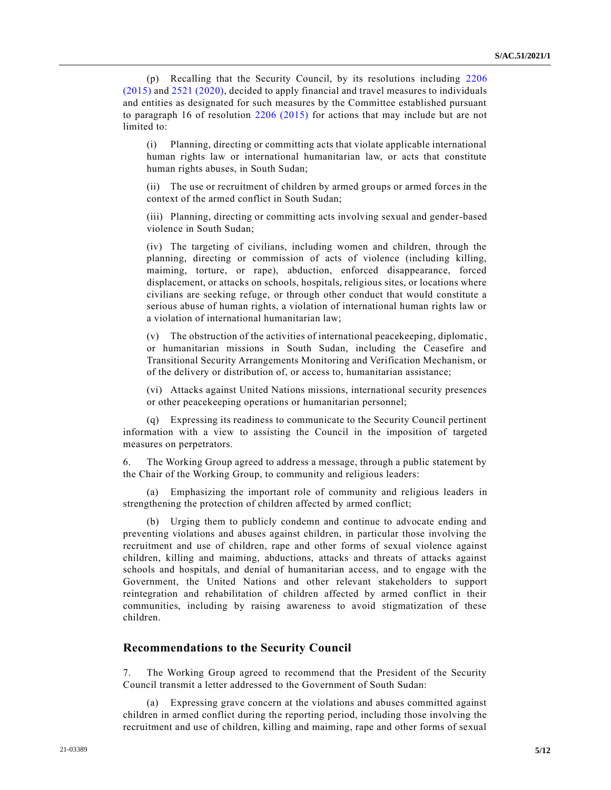(p) Recalling that the Security Council, by its resolutions including [2206](https://undocs.org/en/S/RES/2206(2015))  [\(2015\)](https://undocs.org/en/S/RES/2206(2015)) and [2521 \(2020\),](https://undocs.org/en/S/RES/2521(2020)) decided to apply financial and travel measures to individuals and entities as designated for such measures by the Committee established pursuant to paragraph 16 of resolution [2206 \(2015\)](https://undocs.org/en/S/RES/2206(2015)) for actions that may include but are not limited to:

(i) Planning, directing or committing acts that violate applicable international human rights law or international humanitarian law, or acts that constitute human rights abuses, in South Sudan;

(ii) The use or recruitment of children by armed groups or armed forces in the context of the armed conflict in South Sudan;

(iii) Planning, directing or committing acts involving sexual and gender-based violence in South Sudan;

(iv) The targeting of civilians, including women and children, through the planning, directing or commission of acts of violence (including killing, maiming, torture, or rape), abduction, enforced disappearance, forced displacement, or attacks on schools, hospitals, religious sites, or locations where civilians are seeking refuge, or through other conduct that would constitute a serious abuse of human rights, a violation of international human rights law or a violation of international humanitarian law;

(v) The obstruction of the activities of international peacekeeping, diplomatic, or humanitarian missions in South Sudan, including the Ceasefire and Transitional Security Arrangements Monitoring and Verification Mechanism, or of the delivery or distribution of, or access to, humanitarian assistance;

(vi) Attacks against United Nations missions, international security presences or other peacekeeping operations or humanitarian personnel;

(q) Expressing its readiness to communicate to the Security Council pertinent information with a view to assisting the Council in the imposition of targeted measures on perpetrators.

6. The Working Group agreed to address a message, through a public statement by the Chair of the Working Group, to community and religious leaders:

(a) Emphasizing the important role of community and religious leaders in strengthening the protection of children affected by armed conflict;

(b) Urging them to publicly condemn and continue to advocate ending and preventing violations and abuses against children, in particular those involving the recruitment and use of children, rape and other forms of sexual violence against children, killing and maiming, abductions, attacks and threats of attacks against schools and hospitals, and denial of humanitarian access, and to engage with the Government, the United Nations and other relevant stakeholders to support reintegration and rehabilitation of children affected by armed conflict in their communities, including by raising awareness to avoid stigmatization of these children.

#### **Recommendations to the Security Council**

7. The Working Group agreed to recommend that the President of the Security Council transmit a letter addressed to the Government of South Sudan:

(a) Expressing grave concern at the violations and abuses committed against children in armed conflict during the reporting period, including those involving the recruitment and use of children, killing and maiming, rape and other forms of sexual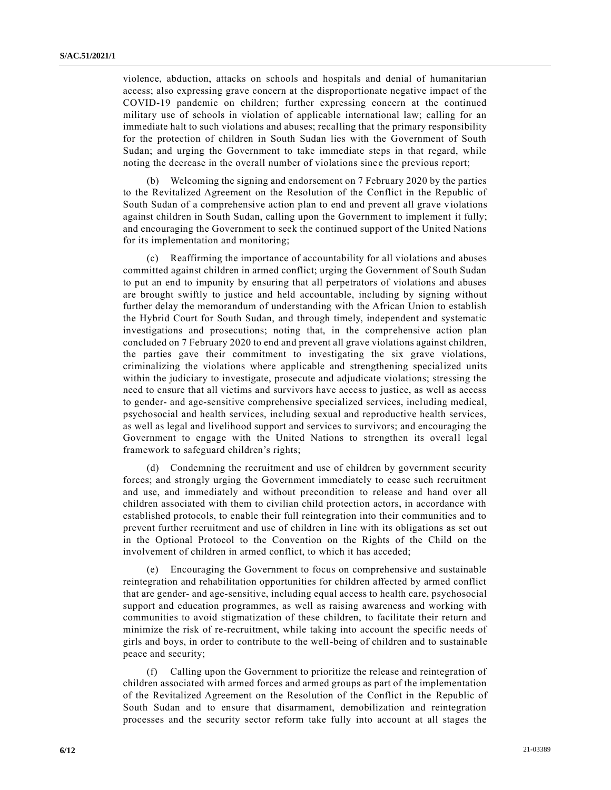violence, abduction, attacks on schools and hospitals and denial of humanitarian access; also expressing grave concern at the disproportionate negative impact of the COVID-19 pandemic on children; further expressing concern at the continued military use of schools in violation of applicable international law; calling for an immediate halt to such violations and abuses; recalling that the primary responsibility for the protection of children in South Sudan lies with the Government of South Sudan; and urging the Government to take immediate steps in that regard, while noting the decrease in the overall number of violations since the previous report;

(b) Welcoming the signing and endorsement on 7 February 2020 by the parties to the Revitalized Agreement on the Resolution of the Conflict in the Republic of South Sudan of a comprehensive action plan to end and prevent all grave v iolations against children in South Sudan, calling upon the Government to implement it fully; and encouraging the Government to seek the continued support of the United Nations for its implementation and monitoring;

(c) Reaffirming the importance of accountability for all violations and abuses committed against children in armed conflict; urging the Government of South Sudan to put an end to impunity by ensuring that all perpetrators of violations and abuses are brought swiftly to justice and held accountable, including by signing without further delay the memorandum of understanding with the African Union to establish the Hybrid Court for South Sudan, and through timely, independent and systematic investigations and prosecutions; noting that, in the comprehensive action plan concluded on 7 February 2020 to end and prevent all grave violations against children, the parties gave their commitment to investigating the six grave violations, criminalizing the violations where applicable and strengthening specialized units within the judiciary to investigate, prosecute and adjudicate violations; stressing the need to ensure that all victims and survivors have access to justice, as well as access to gender- and age-sensitive comprehensive specialized services, including medical, psychosocial and health services, including sexual and reproductive health services, as well as legal and livelihood support and services to survivors; and encouraging the Government to engage with the United Nations to strengthen its overall legal framework to safeguard children's rights;

(d) Condemning the recruitment and use of children by government security forces; and strongly urging the Government immediately to cease such recruitment and use, and immediately and without precondition to release and hand over all children associated with them to civilian child protection actors, in accordance with established protocols, to enable their full reintegration into their communities and to prevent further recruitment and use of children in line with its obligations as set out in the Optional Protocol to the Convention on the Rights of the Child on the involvement of children in armed conflict, to which it has acceded;

(e) Encouraging the Government to focus on comprehensive and sustainable reintegration and rehabilitation opportunities for children affected by armed conflict that are gender- and age-sensitive, including equal access to health care, psychosocial support and education programmes, as well as raising awareness and working with communities to avoid stigmatization of these children, to facilitate their return and minimize the risk of re-recruitment, while taking into account the specific needs of girls and boys, in order to contribute to the well-being of children and to sustainable peace and security;

(f) Calling upon the Government to prioritize the release and reintegration of children associated with armed forces and armed groups as part of the implementation of the Revitalized Agreement on the Resolution of the Conflict in the Republic of South Sudan and to ensure that disarmament, demobilization and reintegration processes and the security sector reform take fully into account at all stages the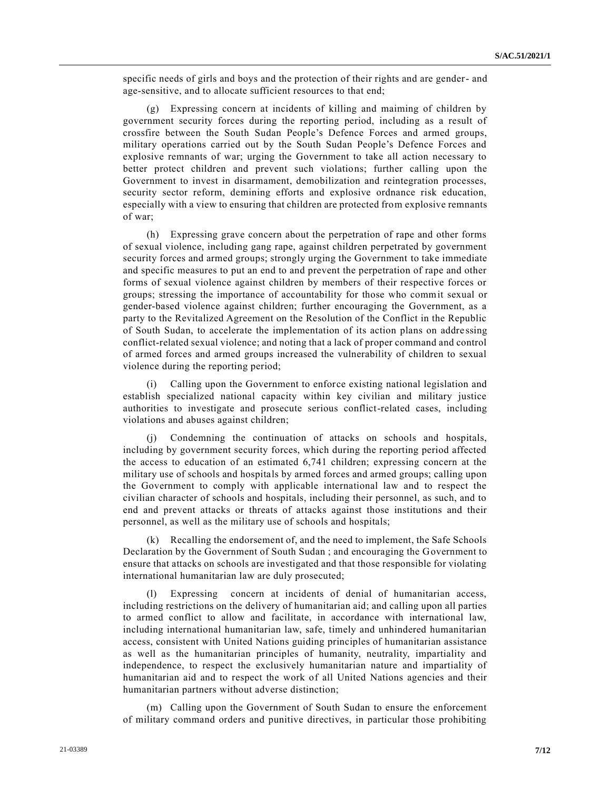specific needs of girls and boys and the protection of their rights and are gender- and age-sensitive, and to allocate sufficient resources to that end;

(g) Expressing concern at incidents of killing and maiming of children by government security forces during the reporting period, including as a result of crossfire between the South Sudan People's Defence Forces and armed groups, military operations carried out by the South Sudan People's Defence Forces and explosive remnants of war; urging the Government to take all action necessary to better protect children and prevent such violations; further calling upon the Government to invest in disarmament, demobilization and reintegration processes, security sector reform, demining efforts and explosive ordnance risk education, especially with a view to ensuring that children are protected from explosive remnants of war;

(h) Expressing grave concern about the perpetration of rape and other forms of sexual violence, including gang rape, against children perpetrated by government security forces and armed groups; strongly urging the Government to take immediate and specific measures to put an end to and prevent the perpetration of rape and other forms of sexual violence against children by members of their respective forces or groups; stressing the importance of accountability for those who commit sexual or gender-based violence against children; further encouraging the Government, as a party to the Revitalized Agreement on the Resolution of the Conflict in the Republic of South Sudan, to accelerate the implementation of its action plans on addre ssing conflict-related sexual violence; and noting that a lack of proper command and control of armed forces and armed groups increased the vulnerability of children to sexual violence during the reporting period;

(i) Calling upon the Government to enforce existing national legislation and establish specialized national capacity within key civilian and military justice authorities to investigate and prosecute serious conflict-related cases, including violations and abuses against children;

(j) Condemning the continuation of attacks on schools and hospitals, including by government security forces, which during the reporting period affected the access to education of an estimated 6,741 children; expressing concern at the military use of schools and hospitals by armed forces and armed groups; calling upon the Government to comply with applicable international law and to respect the civilian character of schools and hospitals, including their personnel, as such, and to end and prevent attacks or threats of attacks against those institutions and their personnel, as well as the military use of schools and hospitals;

(k) Recalling the endorsement of, and the need to implement, the Safe Schools Declaration by the Government of South Sudan ; and encouraging the Government to ensure that attacks on schools are investigated and that those responsible for violating international humanitarian law are duly prosecuted;

(l) Expressing concern at incidents of denial of humanitarian access, including restrictions on the delivery of humanitarian aid; and calling upon all parties to armed conflict to allow and facilitate, in accordance with international law, including international humanitarian law, safe, timely and unhindered humanitarian access, consistent with United Nations guiding principles of humanitarian assistance as well as the humanitarian principles of humanity, neutrality, impartiality and independence, to respect the exclusively humanitarian nature and impartiality of humanitarian aid and to respect the work of all United Nations agencies and their humanitarian partners without adverse distinction;

(m) Calling upon the Government of South Sudan to ensure the enforcement of military command orders and punitive directives, in particular those prohibiting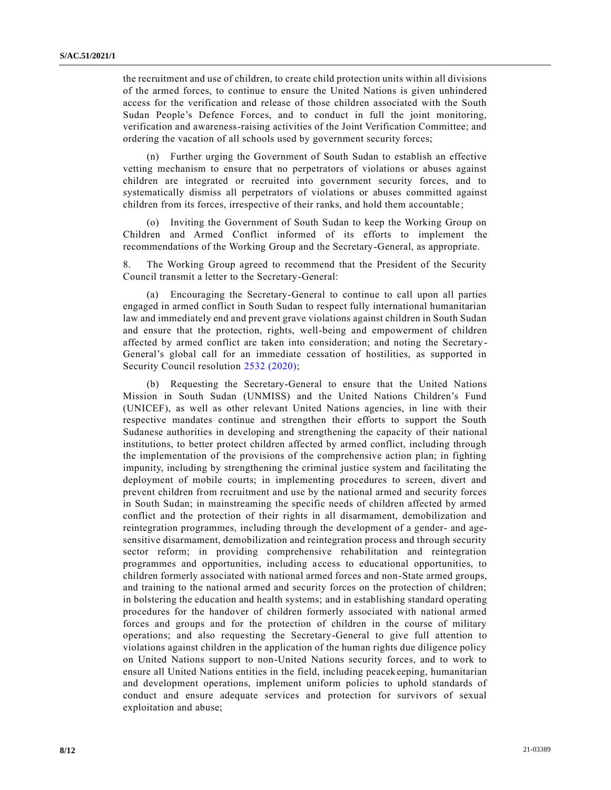the recruitment and use of children, to create child protection units within all divisions of the armed forces, to continue to ensure the United Nations is given unhindered access for the verification and release of those children associated with the South Sudan People's Defence Forces, and to conduct in full the joint monitoring, verification and awareness-raising activities of the Joint Verification Committee; and ordering the vacation of all schools used by government security forces;

(n) Further urging the Government of South Sudan to establish an effective vetting mechanism to ensure that no perpetrators of violations or abuses against children are integrated or recruited into government security forces, and to systematically dismiss all perpetrators of violations or abuses committed against children from its forces, irrespective of their ranks, and hold them accountable ;

(o) Inviting the Government of South Sudan to keep the Working Group on Children and Armed Conflict informed of its efforts to implement the recommendations of the Working Group and the Secretary-General, as appropriate.

8. The Working Group agreed to recommend that the President of the Security Council transmit a letter to the Secretary-General:

(a) Encouraging the Secretary-General to continue to call upon all parties engaged in armed conflict in South Sudan to respect fully international humanitarian law and immediately end and prevent grave violations against children in South Sudan and ensure that the protection, rights, well-being and empowerment of children affected by armed conflict are taken into consideration; and noting the Secretary - General's global call for an immediate cessation of hostilities, as supported in Security Council resolution [2532 \(2020\);](https://undocs.org/en/S/RES/2532(2020))

(b) Requesting the Secretary-General to ensure that the United Nations Mission in South Sudan (UNMISS) and the United Nations Children's Fund (UNICEF), as well as other relevant United Nations agencies, in line with their respective mandates continue and strengthen their efforts to support the South Sudanese authorities in developing and strengthening the capacity of their national institutions, to better protect children affected by armed conflict, including through the implementation of the provisions of the comprehensive action plan; in fighting impunity, including by strengthening the criminal justice system and facilitating the deployment of mobile courts; in implementing procedures to screen, divert and prevent children from recruitment and use by the national armed and security forces in South Sudan; in mainstreaming the specific needs of children affected by armed conflict and the protection of their rights in all disarmament, demobilization and reintegration programmes, including through the development of a gender- and agesensitive disarmament, demobilization and reintegration process and through security sector reform; in providing comprehensive rehabilitation and reintegration programmes and opportunities, including access to educational opportunities, to children formerly associated with national armed forces and non-State armed groups, and training to the national armed and security forces on the protection of children; in bolstering the education and health systems; and in establishing standard operating procedures for the handover of children formerly associated with national armed forces and groups and for the protection of children in the course of military operations; and also requesting the Secretary-General to give full attention to violations against children in the application of the human rights due diligence policy on United Nations support to non-United Nations security forces, and to work to ensure all United Nations entities in the field, including peacekeeping, humanitarian and development operations, implement uniform policies to uphold standards of conduct and ensure adequate services and protection for survivors of sexual exploitation and abuse;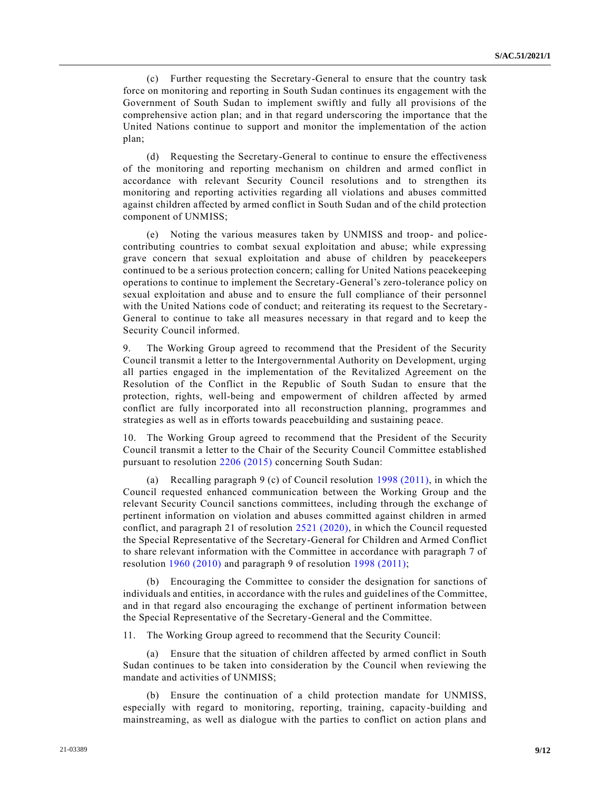(c) Further requesting the Secretary-General to ensure that the country task force on monitoring and reporting in South Sudan continues its engagement with the Government of South Sudan to implement swiftly and fully all provisions of the comprehensive action plan; and in that regard underscoring the importance that the United Nations continue to support and monitor the implementation of the action plan;

(d) Requesting the Secretary-General to continue to ensure the effectiveness of the monitoring and reporting mechanism on children and armed conflict in accordance with relevant Security Council resolutions and to strengthen its monitoring and reporting activities regarding all violations and abuses committed against children affected by armed conflict in South Sudan and of the child protection component of UNMISS;

(e) Noting the various measures taken by UNMISS and troop- and policecontributing countries to combat sexual exploitation and abuse; while expressing grave concern that sexual exploitation and abuse of children by peacekeepers continued to be a serious protection concern; calling for United Nations peacekeeping operations to continue to implement the Secretary-General's zero-tolerance policy on sexual exploitation and abuse and to ensure the full compliance of their personnel with the United Nations code of conduct; and reiterating its request to the Secretary-General to continue to take all measures necessary in that regard and to keep the Security Council informed.

9. The Working Group agreed to recommend that the President of the Security Council transmit a letter to the Intergovernmental Authority on Development, urging all parties engaged in the implementation of the Revitalized Agreement on the Resolution of the Conflict in the Republic of South Sudan to ensure that the protection, rights, well-being and empowerment of children affected by armed conflict are fully incorporated into all reconstruction planning, programmes and strategies as well as in efforts towards peacebuilding and sustaining peace.

10. The Working Group agreed to recommend that the President of the Security Council transmit a letter to the Chair of the Security Council Committee established pursuant to resolution [2206 \(2015\)](https://undocs.org/en/S/RES/2206(2015)) concerning South Sudan:

(a) Recalling paragraph 9 (c) of Council resolution [1998 \(2011\),](https://undocs.org/en/S/RES/1998(2011)) in which the Council requested enhanced communication between the Working Group and the relevant Security Council sanctions committees, including through the exchange of pertinent information on violation and abuses committed against children in armed conflict, and paragraph 21 of resolution [2521 \(2020\),](https://undocs.org/en/S/RES/2521(2020)) in which the Council requested the Special Representative of the Secretary-General for Children and Armed Conflict to share relevant information with the Committee in accordance with paragraph 7 of resolution [1960 \(2010\)](https://undocs.org/en/S/RES/1960(2010)) and paragraph 9 of resolution [1998 \(2011\);](https://undocs.org/en/S/RES/1998(2011))

(b) Encouraging the Committee to consider the designation for sanctions of individuals and entities, in accordance with the rules and guidelines of the Committee, and in that regard also encouraging the exchange of pertinent information between the Special Representative of the Secretary-General and the Committee.

11. The Working Group agreed to recommend that the Security Council:

(a) Ensure that the situation of children affected by armed conflict in South Sudan continues to be taken into consideration by the Council when reviewing the mandate and activities of UNMISS;

(b) Ensure the continuation of a child protection mandate for UNMISS, especially with regard to monitoring, reporting, training, capacity-building and mainstreaming, as well as dialogue with the parties to conflict on action plans and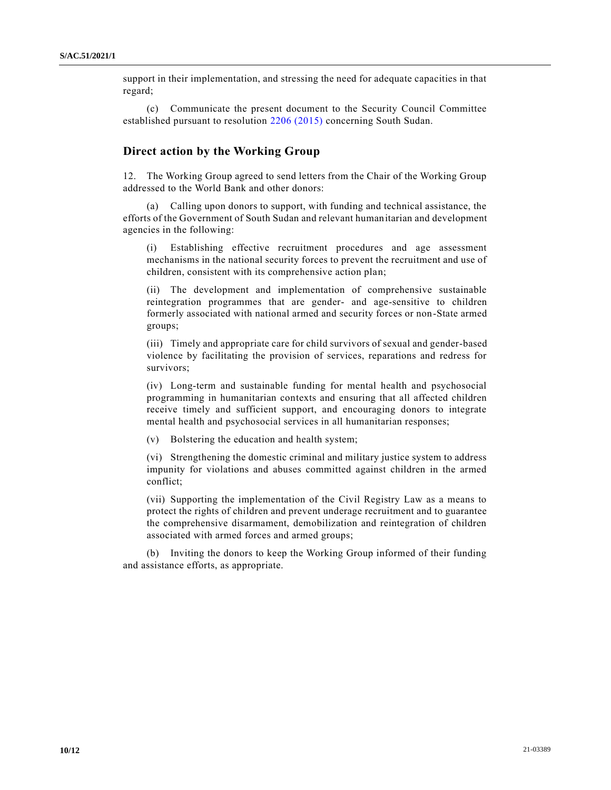support in their implementation, and stressing the need for adequate capacities in that regard;

(c) Communicate the present document to the Security Council Committee established pursuant to resolution [2206 \(2015\)](https://undocs.org/en/S/RES/2206(2015)) concerning South Sudan.

#### **Direct action by the Working Group**

12. The Working Group agreed to send letters from the Chair of the Working Group addressed to the World Bank and other donors:

(a) Calling upon donors to support, with funding and technical assistance, the efforts of the Government of South Sudan and relevant humanitarian and development agencies in the following:

(i) Establishing effective recruitment procedures and age assessment mechanisms in the national security forces to prevent the recruitment and use of children, consistent with its comprehensive action plan;

(ii) The development and implementation of comprehensive sustainable reintegration programmes that are gender- and age-sensitive to children formerly associated with national armed and security forces or non-State armed groups;

(iii) Timely and appropriate care for child survivors of sexual and gender-based violence by facilitating the provision of services, reparations and redress for survivors;

(iv) Long-term and sustainable funding for mental health and psychosocial programming in humanitarian contexts and ensuring that all affected children receive timely and sufficient support, and encouraging donors to integrate mental health and psychosocial services in all humanitarian responses;

(v) Bolstering the education and health system;

(vi) Strengthening the domestic criminal and military justice system to address impunity for violations and abuses committed against children in the armed conflict;

(vii) Supporting the implementation of the Civil Registry Law as a means to protect the rights of children and prevent underage recruitment and to guarantee the comprehensive disarmament, demobilization and reintegration of children associated with armed forces and armed groups;

(b) Inviting the donors to keep the Working Group informed of their funding and assistance efforts, as appropriate.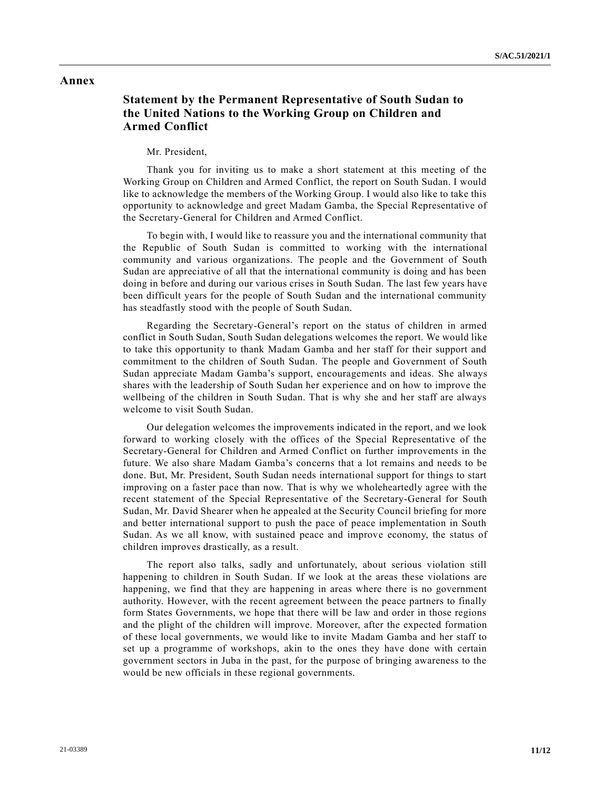### **Annex**

## **Statement by the Permanent Representative of South Sudan to the United Nations to the Working Group on Children and Armed Conflict**

#### Mr. President,

Thank you for inviting us to make a short statement at this meeting of the Working Group on Children and Armed Conflict, the report on South Sudan. I would like to acknowledge the members of the Working Group. I would also like to take this opportunity to acknowledge and greet Madam Gamba, the Special Representative of the Secretary-General for Children and Armed Conflict.

To begin with, I would like to reassure you and the international community that the Republic of South Sudan is committed to working with the international community and various organizations. The people and the Government of South Sudan are appreciative of all that the international community is doing and has been doing in before and during our various crises in South Sudan. The last few years have been difficult years for the people of South Sudan and the international community has steadfastly stood with the people of South Sudan.

Regarding the Secretary-General's report on the status of children in armed conflict in South Sudan, South Sudan delegations welcomes the report. We would like to take this opportunity to thank Madam Gamba and her staff for their support and commitment to the children of South Sudan. The people and Government of South Sudan appreciate Madam Gamba's support, encouragements and ideas. She always shares with the leadership of South Sudan her experience and on how to improve the wellbeing of the children in South Sudan. That is why she and her staff are always welcome to visit South Sudan.

Our delegation welcomes the improvements indicated in the report, and we look forward to working closely with the offices of the Special Representative of the Secretary-General for Children and Armed Conflict on further improvements in the future. We also share Madam Gamba's concerns that a lot remains and needs to be done. But, Mr. President, South Sudan needs international support for things to start improving on a faster pace than now. That is why we wholeheartedly agree with the recent statement of the Special Representative of the Secretary-General for South Sudan, Mr. David Shearer when he appealed at the Security Council briefing for more and better international support to push the pace of peace implementation in South Sudan. As we all know, with sustained peace and improve economy, the status of children improves drastically, as a result.

The report also talks, sadly and unfortunately, about serious violation still happening to children in South Sudan. If we look at the areas these violations are happening, we find that they are happening in areas where there is no government authority. However, with the recent agreement between the peace partners to finally form States Governments, we hope that there will be law and order in those regions and the plight of the children will improve. Moreover, after the expected formation of these local governments, we would like to invite Madam Gamba and her staff to set up a programme of workshops, akin to the ones they have done with certain government sectors in Juba in the past, for the purpose of bringing awareness to the would be new officials in these regional governments.